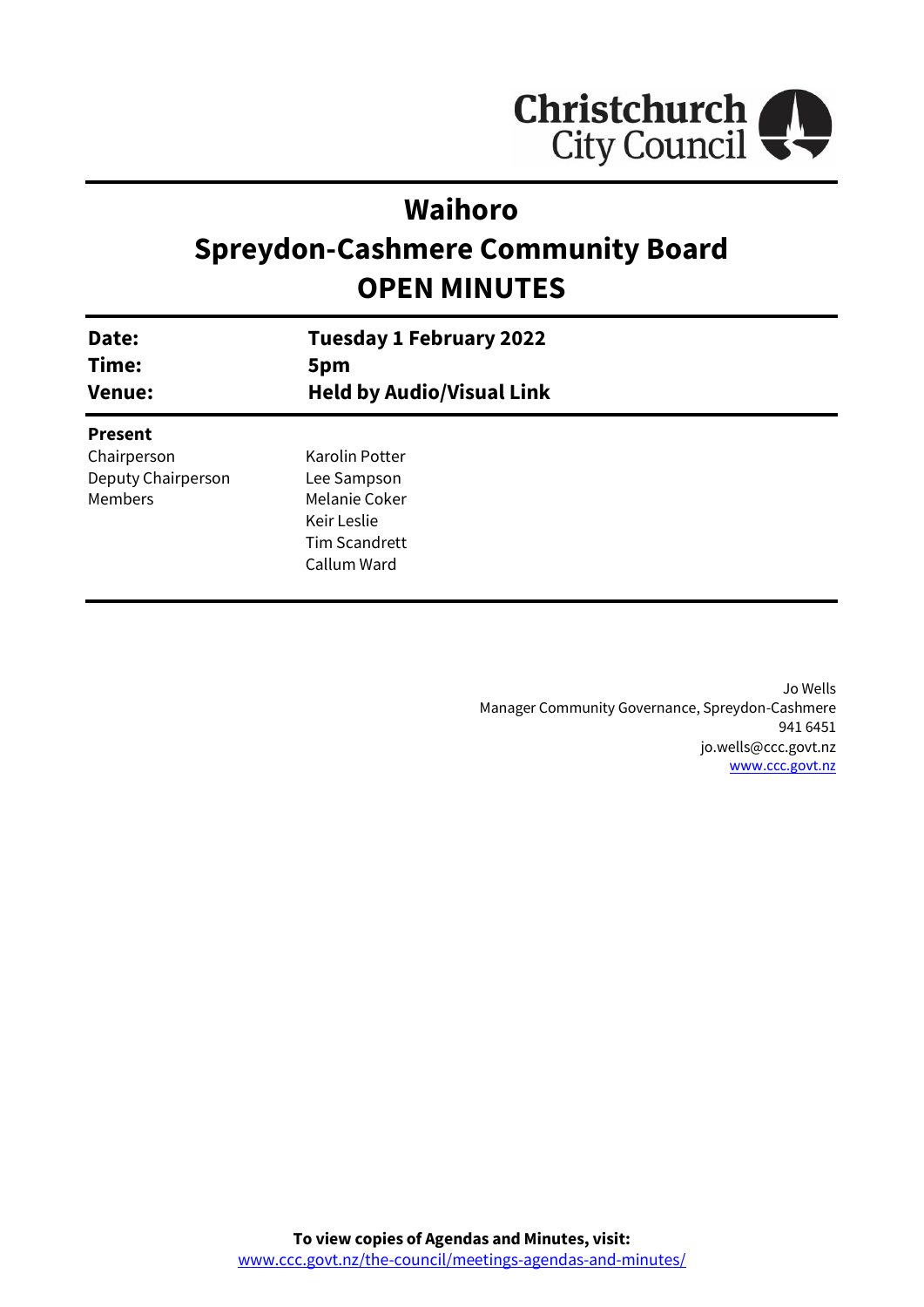

# **Waihoro**

# **Spreydon-Cashmere Community Board OPEN MINUTES**

| Date:<br>Time:<br><b>Venue:</b> | <b>Tuesday 1 February 2022</b><br>5pm<br><b>Held by Audio/Visual Link</b> |  |
|---------------------------------|---------------------------------------------------------------------------|--|
| <b>Present</b>                  |                                                                           |  |
| Chairperson                     | Karolin Potter                                                            |  |
| Deputy Chairperson              | Lee Sampson                                                               |  |
| Members                         | Melanie Coker                                                             |  |
|                                 | Keir Leslie                                                               |  |
|                                 | <b>Tim Scandrett</b>                                                      |  |
|                                 | Callum Ward                                                               |  |
|                                 |                                                                           |  |

Jo Wells Manager Community Governance, Spreydon-Cashmere 941 6451 jo.wells@ccc.govt.nz [www.ccc.govt.nz](http://www.ccc.govt.nz/)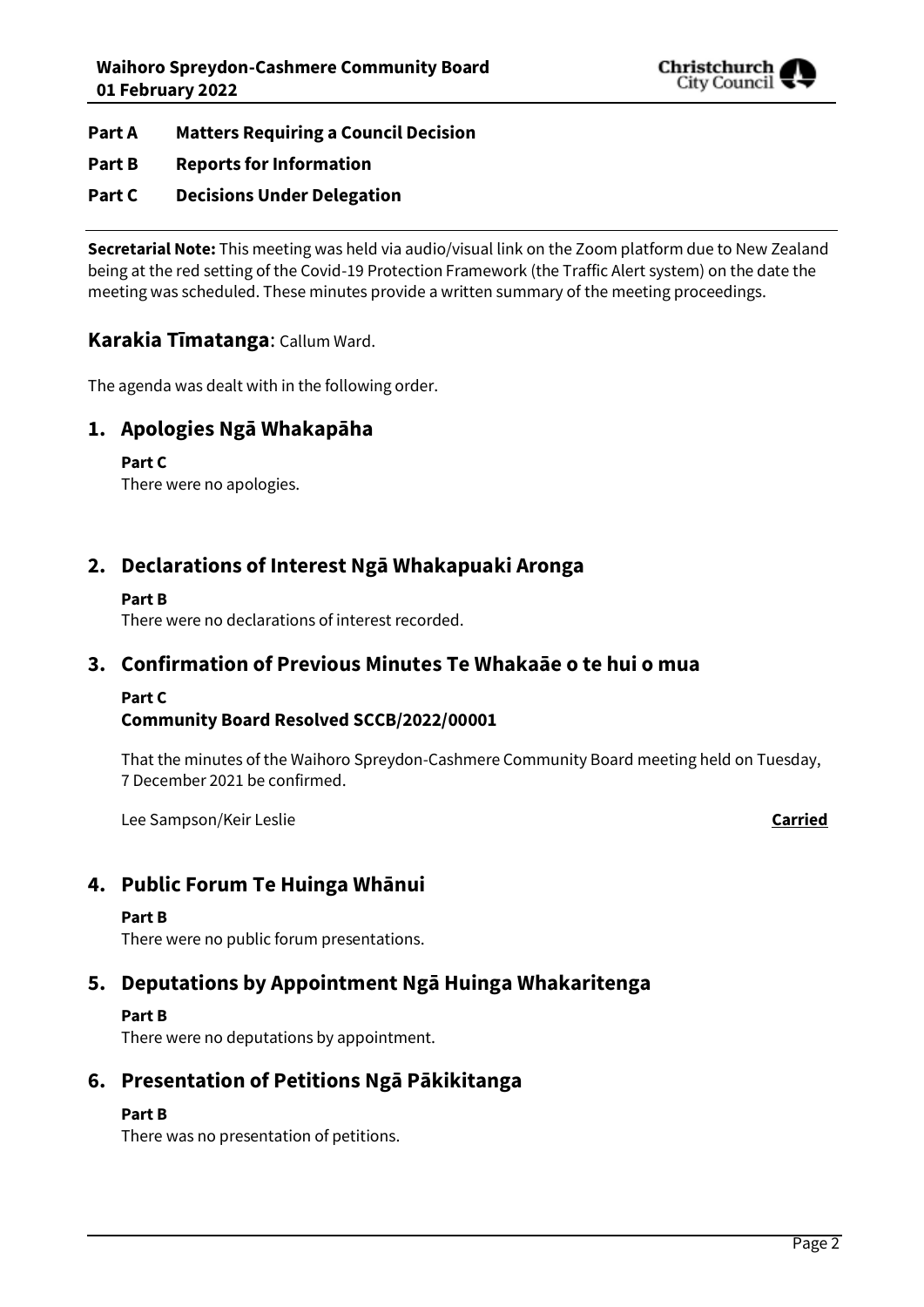

- **Part A Matters Requiring a Council Decision**
- **Part B Reports for Information**
- **Part C Decisions Under Delegation**

**Secretarial Note:** This meeting was held via audio/visual link on the Zoom platform due to New Zealand being at the red setting of the Covid-19 Protection Framework (the Traffic Alert system) on the date the meeting was scheduled. These minutes provide a written summary of the meeting proceedings.

## **Karakia Tīmatanga**: Callum Ward.

The agenda was dealt with in the following order.

## **1. Apologies Ngā Whakapāha**

**Part C**  There were no apologies.

## **2. Declarations of Interest Ngā Whakapuaki Aronga**

## **Part B**

There were no declarations of interest recorded.

## **3. Confirmation of Previous Minutes Te Whakaāe o te hui o mua**

## **Part C**

## **Community Board Resolved SCCB/2022/00001**

That the minutes of the Waihoro Spreydon-Cashmere Community Board meeting held on Tuesday, 7 December 2021 be confirmed.

Lee Sampson/Keir Leslie **Carried**

## **4. Public Forum Te Huinga Whānui**

## **Part B**

There were no public forum presentations.

## **5. Deputations by Appointment Ngā Huinga Whakaritenga**

## **Part B**

There were no deputations by appointment.

## **6. Presentation of Petitions Ngā Pākikitanga**

## **Part B**

There was no presentation of petitions.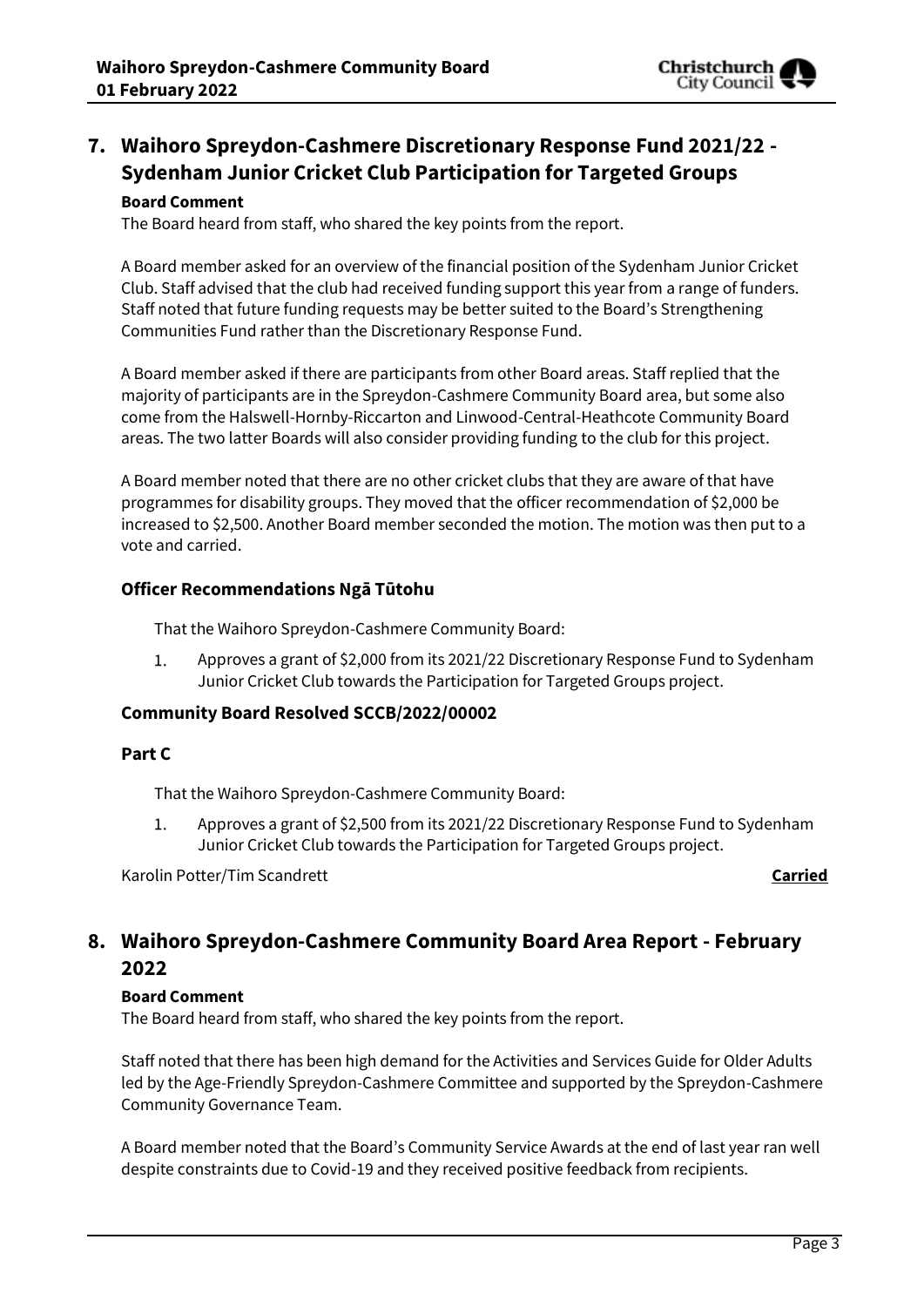

## **7. Waihoro Spreydon-Cashmere Discretionary Response Fund 2021/22 - Sydenham Junior Cricket Club Participation for Targeted Groups**

## **Board Comment**

The Board heard from staff, who shared the key points from the report.

A Board member asked for an overview of the financial position of the Sydenham Junior Cricket Club. Staff advised that the club had received funding support this year from a range of funders. Staff noted that future funding requests may be better suited to the Board's Strengthening Communities Fund rather than the Discretionary Response Fund.

A Board member asked if there are participants from other Board areas. Staff replied that the majority of participants are in the Spreydon-Cashmere Community Board area, but some also come from the Halswell-Hornby-Riccarton and Linwood-Central-Heathcote Community Board areas. The two latter Boards will also consider providing funding to the club for this project.

A Board member noted that there are no other cricket clubs that they are aware of that have programmes for disability groups. They moved that the officer recommendation of \$2,000 be increased to \$2,500. Another Board member seconded the motion. The motion was then put to a vote and carried.

## **Officer Recommendations Ngā Tūtohu**

That the Waihoro Spreydon-Cashmere Community Board:

Approves a grant of \$2,000 from its 2021/22 Discretionary Response Fund to Sydenham  $1.$ Junior Cricket Club towards the Participation for Targeted Groups project.

## **Community Board Resolved SCCB/2022/00002**

## **Part C**

That the Waihoro Spreydon-Cashmere Community Board:

1. Approves a grant of \$2,500 from its 2021/22 Discretionary Response Fund to Sydenham Junior Cricket Club towards the Participation for Targeted Groups project.

Karolin Potter/Tim Scandrett **Carried**

## **8. Waihoro Spreydon-Cashmere Community Board Area Report - February 2022**

## **Board Comment**

The Board heard from staff, who shared the key points from the report.

Staff noted that there has been high demand for the Activities and Services Guide for Older Adults led by the Age-Friendly Spreydon-Cashmere Committee and supported by the Spreydon-Cashmere Community Governance Team.

A Board member noted that the Board's Community Service Awards at the end of last year ran well despite constraints due to Covid-19 and they received positive feedback from recipients.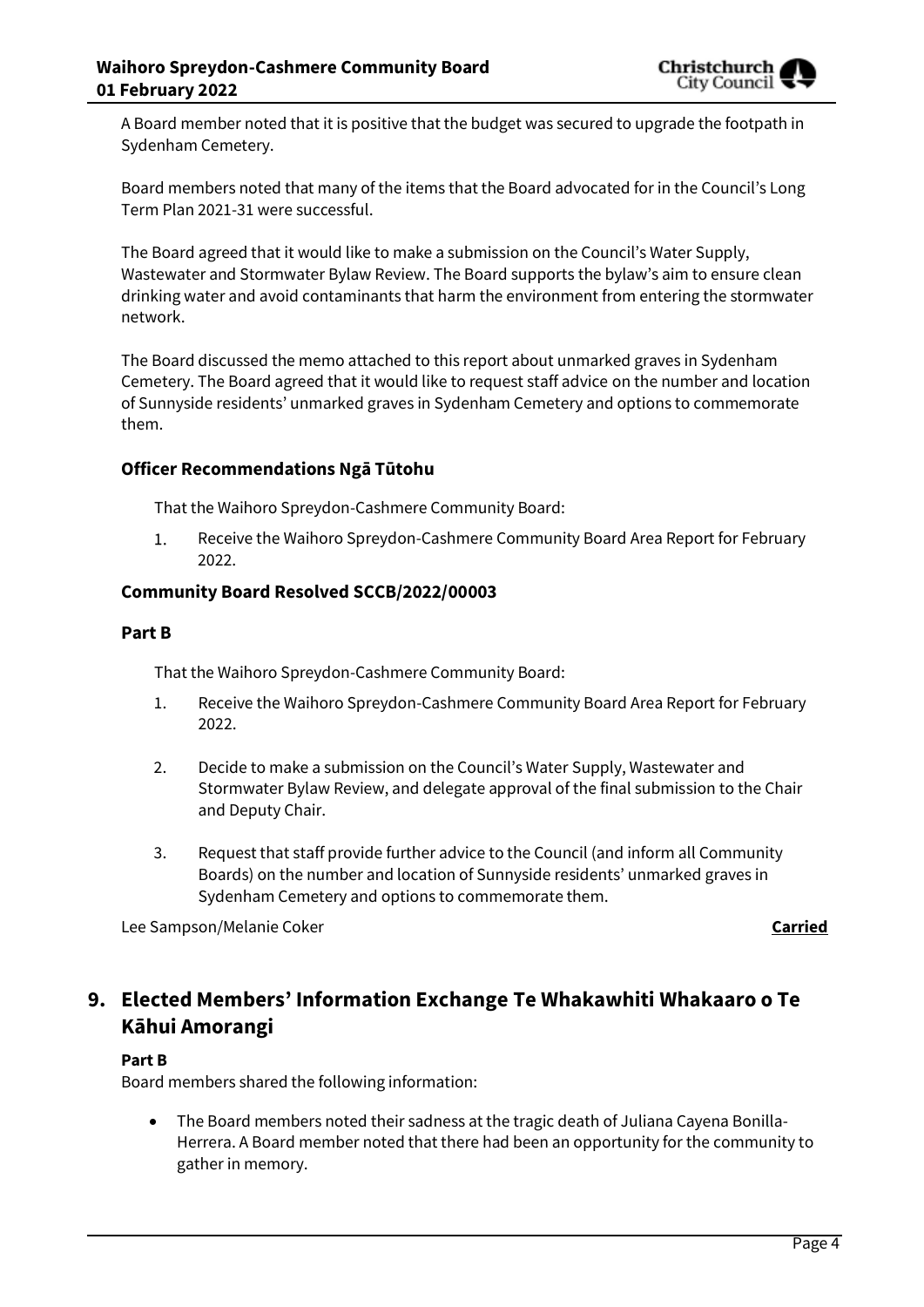

A Board member noted that it is positive that the budget was secured to upgrade the footpath in Sydenham Cemetery.

Board members noted that many of the items that the Board advocated for in the Council's Long Term Plan 2021-31 were successful.

The Board agreed that it would like to make a submission on the Council's Water Supply, Wastewater and Stormwater Bylaw Review. The Board supports the bylaw's aim to ensure clean drinking water and avoid contaminants that harm the environment from entering the stormwater network.

The Board discussed the memo attached to this report about unmarked graves in Sydenham Cemetery. The Board agreed that it would like to request staff advice on the number and location of Sunnyside residents' unmarked graves in Sydenham Cemetery and options to commemorate them.

## **Officer Recommendations Ngā Tūtohu**

That the Waihoro Spreydon-Cashmere Community Board:

Receive the Waihoro Spreydon-Cashmere Community Board Area Report for February  $1.$ 2022.

## **Community Board Resolved SCCB/2022/00003**

#### **Part B**

That the Waihoro Spreydon-Cashmere Community Board:

- 1. Receive the Waihoro Spreydon-Cashmere Community Board Area Report for February 2022.
- 2. Decide to make a submission on the Council's Water Supply, Wastewater and Stormwater Bylaw Review, and delegate approval of the final submission to the Chair and Deputy Chair.
- 3. Request that staff provide further advice to the Council (and inform all Community Boards) on the number and location of Sunnyside residents' unmarked graves in Sydenham Cemetery and options to commemorate them.

Lee Sampson/Melanie Coker **Carried**

## **9. Elected Members' Information Exchange Te Whakawhiti Whakaaro o Te Kāhui Amorangi**

## **Part B**

Board members shared the following information:

 The Board members noted their sadness at the tragic death of Juliana Cayena Bonilla-Herrera. A Board member noted that there had been an opportunity for the community to gather in memory.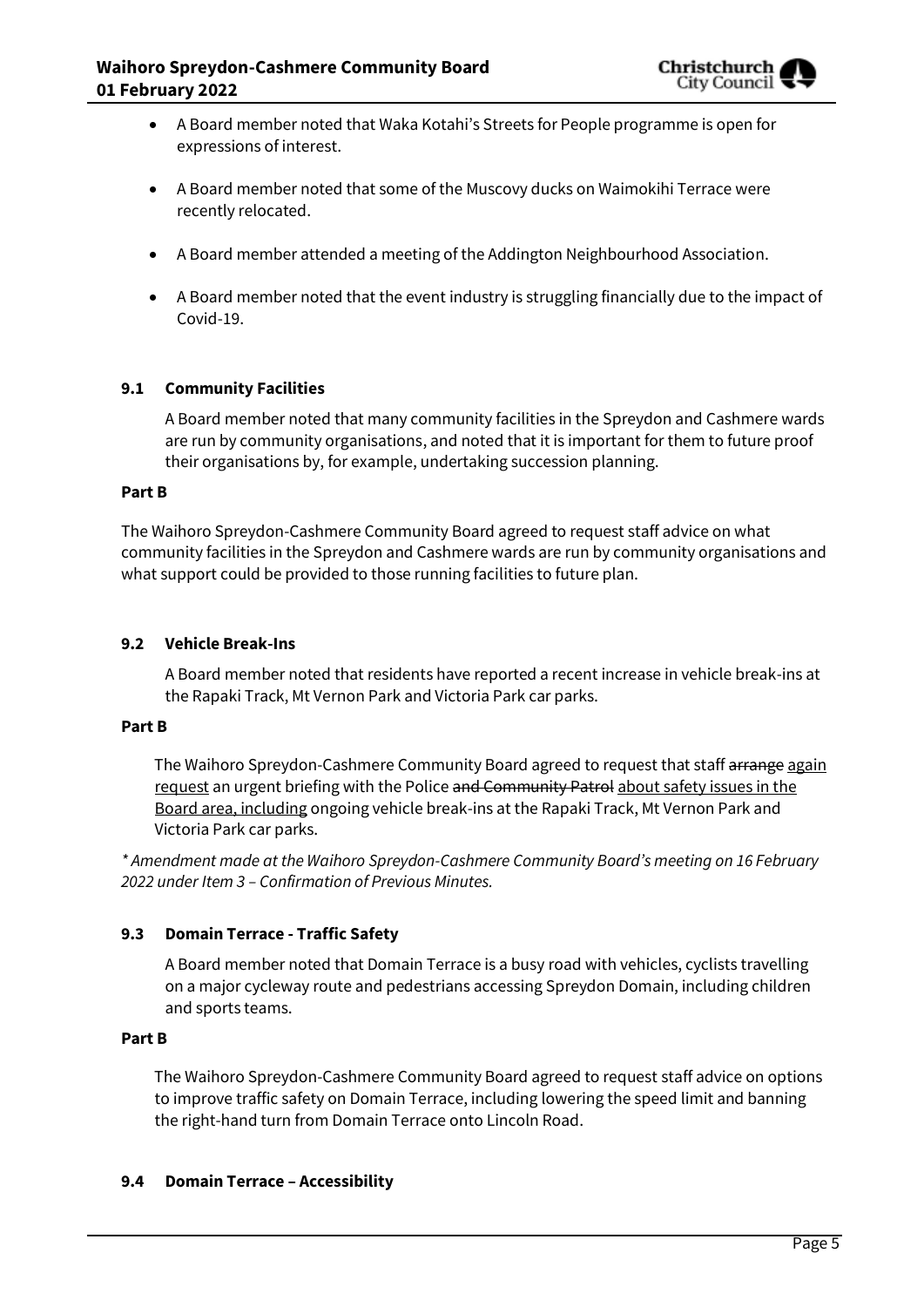- A Board member noted that Waka Kotahi's Streets for People programme is open for expressions of interest.
- A Board member noted that some of the Muscovy ducks on Waimokihi Terrace were recently relocated.
- A Board member attended a meeting of the Addington Neighbourhood Association.
- A Board member noted that the event industry is struggling financially due to the impact of Covid-19.

## **9.1 Community Facilities**

A Board member noted that many community facilities in the Spreydon and Cashmere wards are run by community organisations, and noted that it is important for them to future proof their organisations by, for example, undertaking succession planning.

#### **Part B**

The Waihoro Spreydon-Cashmere Community Board agreed to request staff advice on what community facilities in the Spreydon and Cashmere wards are run by community organisations and what support could be provided to those running facilities to future plan.

#### **9.2 Vehicle Break-Ins**

A Board member noted that residents have reported a recent increase in vehicle break-ins at the Rapaki Track, Mt Vernon Park and Victoria Park car parks.

#### **Part B**

The Waihoro Spreydon-Cashmere Community Board agreed to request that staff arrange again request an urgent briefing with the Police and Community Patrol about safety issues in the Board area, including ongoing vehicle break-ins at the Rapaki Track, Mt Vernon Park and Victoria Park car parks.

*\* Amendment made at the Waihoro Spreydon-Cashmere Community Board's meeting on 16 February 2022 under Item 3 – Confirmation of Previous Minutes.*

## **9.3 Domain Terrace - Traffic Safety**

A Board member noted that Domain Terrace is a busy road with vehicles, cyclists travelling on a major cycleway route and pedestrians accessing Spreydon Domain, including children and sports teams.

#### **Part B**

The Waihoro Spreydon-Cashmere Community Board agreed to request staff advice on options to improve traffic safety on Domain Terrace, including lowering the speed limit and banning the right-hand turn from Domain Terrace onto Lincoln Road.

## **9.4 Domain Terrace – Accessibility**